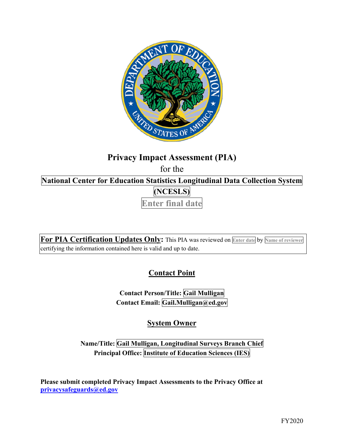

# **Privacy Impact Assessment (PIA)**

for the

 **National Center for Education Statistics Longitudinal Data Collection System (NCESLS)** 

**Enter final date** 

 **For PIA Certification Updates Only:** This PIA was reviewed on **Enter date** by **Name of reviewer**  certifying the information contained here is valid and up to date.

**Contact Point** 

**Contact Person/Title: Gail Mulligan Contact Email: Gail.Mulligan@ed.gov** 

**System Owner** 

 **Name/Title: Gail Mulligan, Longitudinal Surveys Branch Chief Principal Office: Institute of Education Sciences (IES)** 

 **[privacysafeguards@ed.gov](mailto:privacysafeguards@ed.gov) Please submit completed Privacy Impact Assessments to the Privacy Office at**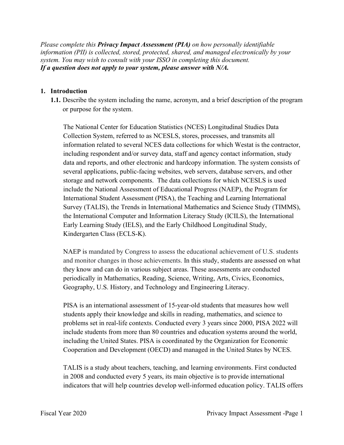*Please complete this Privacy Impact Assessment (PIA) on how personally identifiable information (PII) is collected, stored, protected, shared, and managed electronically by your system. You may wish to consult with your ISSO in completing this document. If a question does not apply to your system, please answer with N/A.* 

#### **1. Introduction**

 **1.1.** Describe the system including the name, acronym, and a brief description of the program or purpose for the system.

or purpose for the system.<br>The National Center for Education Statistics (NCES) Longitudinal Studies Data data and reports, and other electronic and hardcopy information. The system consists of several applications, public-facing websites, web servers, database servers, and other storage and network components. The data collections for which NCESLS is used Survey (TALIS), the Trends in International Mathematics and Science Study (TIMMS), Kindergarten Class (ECLS-K). Collection System, referred to as NCESLS, stores, processes, and transmits all information related to several NCES data collections for which Westat is the contractor, including respondent and/or survey data, staff and agency contact information, study include the National Assessment of Educational Progress (NAEP), the Program for International Student Assessment (PISA), the Teaching and Learning International the International Computer and Information Literacy Study (ICILS), the International Early Learning Study (IELS), and the Early Childhood Longitudinal Study,

Kindergarten Class (ECLS-K).<br>NAEP is mandated by Congress to assess the educational achievement of U.S. students and monitor changes in those achievements. In this study, students are assessed on what they know and can do in various subject areas. These assessments are conducted periodically in Mathematics, Reading, Science, Writing, Arts, Civics, Economics, Geography, U.S. History, and Technology and Engineering Literacy.

 PISA is an international assessment of 15-year-old students that measures how well students apply their knowledge and skills in reading, mathematics, and science to problems set in real-life contexts. Conducted every 3 years since 2000, PISA 2022 will include students from more than 80 countries and education systems around the world, including the United States. PISA is coordinated by the Organization for Economic Cooperation and Development (OECD) and managed in the United States by NCES.

TALIS is a study about teachers, teaching, and learning environments. First conducted in 2008 and conducted every 5 years, its main objective is to provide international indicators that will help countries develop well-informed education policy. TALIS offers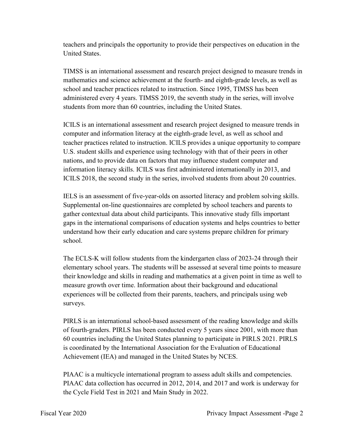teachers and principals the opportunity to provide their perspectives on education in the United States.

TIMSS is an international assessment and research project designed to measure trends in mathematics and science achievement at the fourth- and eighth-grade levels, as well as school and teacher practices related to instruction. Since 1995, TIMSS has been administered every 4 years. TIMSS 2019, the seventh study in the series, will involve students from more than 60 countries, including the United States.

 U.S. student skills and experience using technology with that of their peers in other ICILS is an international assessment and research project designed to measure trends in computer and information literacy at the eighth-grade level, as well as school and teacher practices related to instruction. ICILS provides a unique opportunity to compare nations, and to provide data on factors that may influence student computer and information literacy skills. ICILS was first administered internationally in 2013, and ICILS 2018, the second study in the series, involved students from about 20 countries.

IELS is an assessment of five-year-olds on assorted literacy and problem solving skills. Supplemental on-line questionnaires are completed by school teachers and parents to gather contextual data about child participants. This innovative study fills important gaps in the international comparisons of education systems and helps countries to better understand how their early education and care systems prepare children for primary school.

The ECLS-K will follow students from the kindergarten class of 2023-24 through their elementary school years. The students will be assessed at several time points to measure their knowledge and skills in reading and mathematics at a given point in time as well to measure growth over time. Information about their background and educational experiences will be collected from their parents, teachers, and principals using web surveys.

PIRLS is an international school-based assessment of the reading knowledge and skills of fourth-graders. PIRLS has been conducted every 5 years since 2001, with more than 60 countries including the United States planning to participate in PIRLS 2021. PIRLS is coordinated by the International Association for the Evaluation of Educational Achievement (IEA) and managed in the United States by NCES.

PIAAC is a multicycle international program to assess adult skills and competencies. PIAAC data collection has occurred in 2012, 2014, and 2017 and work is underway for the Cycle Field Test in 2021 and Main Study in 2022.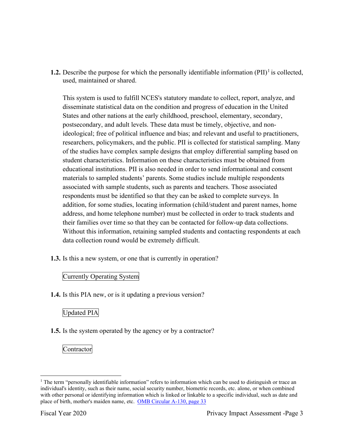**1.2.** Describe the purpose for which the personally identifiable information  $(PII)^{1}$  is collected, used, maintained or shared.

This system is used to fulfill NCES's statutory mandate to collect, report, analyze, and disseminate statistical data on the condition and progress of education in the United States and other nations at the early childhood, preschool, elementary, secondary, postsecondary, and adult levels. These data must be timely, objective, and nonideological; free of political influence and bias; and relevant and useful to practitioners, researchers, policymakers, and the public. PII is collected for statistical sampling. Many of the studies have complex sample designs that employ differential sampling based on student characteristics. Information on these characteristics must be obtained from educational institutions. PII is also needed in order to send informational and consent materials to sampled students' parents. Some studies include multiple respondents associated with sample students, such as parents and teachers. Those associated respondents must be identified so that they can be asked to complete surveys. In addition, for some studies, locating information (child/student and parent names, home address, and home telephone number) must be collected in order to track students and their families over time so that they can be contacted for follow-up data collections. Without this information, retaining sampled students and contacting respondents at each data collection round would be extremely difficult.

**1.3.** Is this a new system, or one that is currently in operation?

# Currently Operating System

**1.4.** Is this PIA new, or is it updating a previous version?

# Updated PIA

**1.5.** Is the system operated by the agency or by a contractor?

**Contractor** 

place of birth, mother's maiden name, etc. OMB Circular A-130, page 33 <sup>1</sup> The term "personally identifiable information" refers to information which can be used to distinguish or trace an individual's identity, such as their name, social security number, biometric records, etc. alone, or when combined with other personal or identifying information which is linked or linkable to a specific individual, such as date and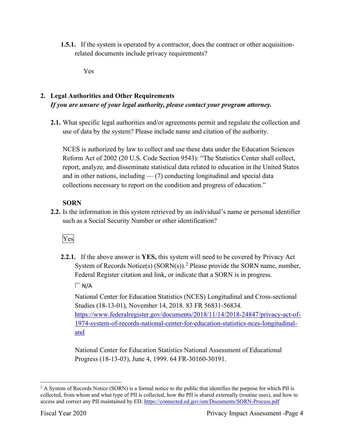**1.5.1.** If the system is operated by a contractor, does the contract or other acquisitionrelated documents include privacy requirements?

Yes

# **2. Legal Authorities and Other Requirements**  *If you are unsure of your legal authority, please contact your program attorney.*

**2.1.** What specific legal authorities and/or agreements permit and regulate the collection and use of data by the system? Please include name and citation of the authority.

 collections necessary to report on the condition and progress of education." NCES is authorized by law to collect and use these data under the Education Sciences Reform Act of 2002 (20 U.S. Code Section 9543): "The Statistics Center shall collect, report, analyze, and disseminate statistical data related to education in the United States and in other nations, including  $-$  (7) conducting longitudinal and special data

# **SORN**

such as a Social Security Number or other identification?<br>Ves **2.2.** Is the information in this system retrieved by an individual's name or personal identifier

**2.2.1.** If the above answer is **YES,** this system will need to be covered by Privacy Act System of Records Notice(s)  $(SORN(s))$ .<sup>2</sup> Please provide the SORN name, number, Federal Register citation and link, or indicate that a SORN is in progress.

 $\Box$  N/A

National Center for Education Statistics (NCES) Longitudinal and Cross-sectional Studies (18-13-01), November 14, 2018. 83 FR 56831-56834.

[https://www.federalregister.gov/documents/2018/11/14/2018-24847/privacy-act-of-](https://www.federalregister.gov/documents/2018/11/14/2018-24847/privacy-act-of)1974-system-of-records-national-center-for-education-statistics-nces-longitudinaland

National Center for Education Statistics National Assessment of Educational Progress (18-13-03), June 4, 1999. 64 FR-30160-30191.

access and correct any PII maintained by ED. <u>https://connected.ed.gov/om/Documents/SORN-Process.pdf</u><br>Fiscal Year 2020 Privacy Impact Assessment -Page 4  $2$  A System of Records Notice (SORN) is a formal notice to the public that identifies the purpose for which PII is collected, from whom and what type of PII is collected, how the PII is shared externally (routine uses), and how to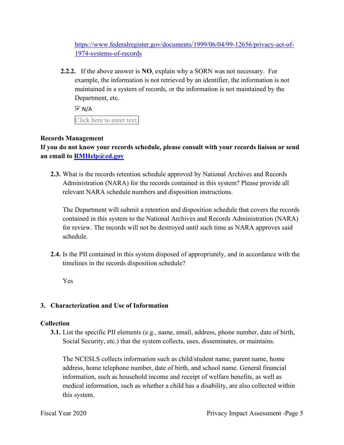[https://www.federalregister.gov/documents/1999/06/04/99-12656/privacy-act-of-](https://www.federalregister.gov/documents/1999/06/04/99-12656/privacy-act-of)1974-systems-of-records

 **2.2.2.** If the above answer is **NO**, explain why a SORN was not necessary. For Department, etc. example, the information is not retrieved by an identifier, the information is not maintained in a system of records, or the information is not maintained by the

 $\overline{V}$  N/A

Click here to enter text.

## **Records Management**

**If you do not know your records schedule, please consult with your records liaison or send an email to [RMHelp@ed.gov](mailto:RMHelp@ed.gov)** 

 **2.3.** What is the records retention schedule approved by National Archives and Records Administration (NARA) for the records contained in this system? Please provide all relevant NARA schedule numbers and disposition instructions.

The Department will submit a retention and disposition schedule that covers the records contained in this system to the National Archives and Records Administration (NARA) for review. The records will not be destroyed until such time as NARA approves said schedule.

**2.4.** Is the PII contained in this system disposed of appropriately, and in accordance with the timelines in the records disposition schedule?

Yes

## **3. Characterization and Use of Information**

## **Collection**

**3.1.** List the specific PII elements (e.g., name, email, address, phone number, date of birth, Social Security, etc.) that the system collects, uses, disseminates, or maintains.

 information, such as household income and receipt of welfare benefits, as well as medical information, such as whether a child has a disability, are also collected within The NCESLS collects information such as child/student name, parent name, home address, home telephone number, date of birth, and school name. General financial this system.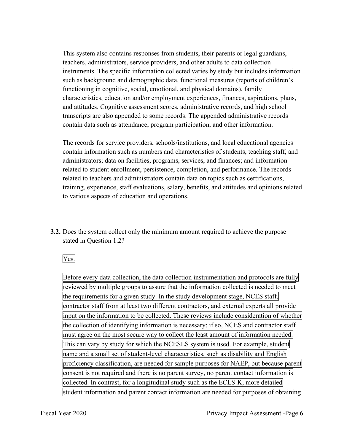This system also contains responses from students, their parents or legal guardians, teachers, administrators, service providers, and other adults to data collection instruments. The specific information collected varies by study but includes information such as background and demographic data, functional measures (reports of children's functioning in cognitive, social, emotional, and physical domains), family characteristics, education and/or employment experiences, finances, aspirations, plans, and attitudes. Cognitive assessment scores, administrative records, and high school transcripts are also appended to some records. The appended administrative records contain data such as attendance, program participation, and other information.

 to various aspects of education and operations. The records for service providers, schools/institutions, and local educational agencies contain information such as numbers and characteristics of students, teaching staff, and administrators; data on facilities, programs, services, and finances; and information related to student enrollment, persistence, completion, and performance. The records related to teachers and administrators contain data on topics such as certifications, training, experience, staff evaluations, salary, benefits, and attitudes and opinions related

stated in Ouestion 1.2? **3.2.** Does the system collect only the minimum amount required to achieve the purpose

Yes.

Stated in Question 1.2?<br>
Yes.<br>Before every data collection, the data collection instrumentation and protocols are fully reviewed by multiple groups to assure that the information collected is needed to meet the requirements for a given study. In the study development stage, NCES staff, contractor staff from at least two different contractors, and external experts all provide input on the information to be collected. These reviews include consideration of whether the collection of identifying information is necessary; if so, NCES and contractor staff must agree on the most secure way to collect the least amount of information needed. This can vary by study for which the NCESLS system is used. For example, student name and a small set of student-level characteristics, such as disability and English proficiency classification, are needed for sample purposes for NAEP, but because parent consent is not required and there is no parent survey, no parent contact information is collected. In contrast, for a longitudinal study such as the ECLS-K, more detailed student information and parent contact information are needed for purposes of obtaining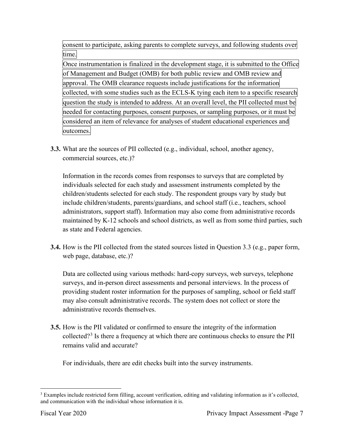consent to participate, asking parents to complete surveys, and following students over

time.<br>Once instrumentation is finalized in the development stage, it is submitted to the Office of Management and Budget (OMB) for both public review and OMB review and approval. The OMB clearance requests include justifications for the information collected, with some studies such as the ECLS-K tying each item to a specific research question the study is intended to address. At an overall level, the PII collected must be needed for contacting purposes, consent purposes, or sampling purposes, or it must be considered an item of relevance for analyses of student educational experiences and outcomes.

**3.3.** What are the sources of PII collected (e.g., individual, school, another agency, commercial sources, etc.)?

 individuals selected for each study and assessment instruments completed by the Information in the records comes from responses to surveys that are completed by children/students selected for each study. The respondent groups vary by study but include children/students, parents/guardians, and school staff (i.e., teachers, school administrators, support staff). Information may also come from administrative records maintained by K-12 schools and school districts, as well as from some third parties, such as state and Federal agencies.

 **3.4.** How is the PII collected from the stated sources listed in Question 3.3 (e.g., paper form, web page, database, etc.)?

Data are collected using various methods: hard-copy surveys, web surveys, telephone surveys, and in-person direct assessments and personal interviews. In the process of providing student roster information for the purposes of sampling, school or field staff may also consult administrative records. The system does not collect or store the administrative records themselves.

**3.5.** How is the PII validated or confirmed to ensure the integrity of the information collected?<sup>3</sup> Is there a frequency at which there are continuous checks to ensure the PII remains valid and accurate?

For individuals, there are edit checks built into the survey instruments.

and communication with the individual whose information it is.<br>Fiscal Year 2020 Privacy Impact Assessment -Page 7 <sup>3</sup> Examples include restricted form filling, account verification, editing and validating information as it's collected,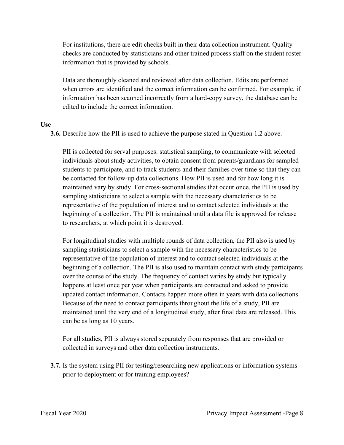For institutions, there are edit checks built in their data collection instrument. Quality checks are conducted by statisticians and other trained process staff on the student roster information that is provided by schools.

Data are thoroughly cleaned and reviewed after data collection. Edits are performed when errors are identified and the correct information can be confirmed. For example, if information has been scanned incorrectly from a hard-copy survey, the database can be edited to include the correct information.

#### **Use**

**3.6.** Describe how the PII is used to achieve the purpose stated in Question 1.2 above.

 individuals about study activities, to obtain consent from parents/guardians for sampled sampling statisticians to select a sample with the necessary characteristics to be PII is collected for serval purposes: statistical sampling, to communicate with selected students to participate, and to track students and their families over time so that they can be contacted for follow-up data collections. How PII is used and for how long it is maintained vary by study. For cross-sectional studies that occur once, the PII is used by representative of the population of interest and to contact selected individuals at the beginning of a collection. The PII is maintained until a data file is approved for release to researchers, at which point it is destroyed.

 sampling statisticians to select a sample with the necessary characteristics to be For longitudinal studies with multiple rounds of data collection, the PII also is used by representative of the population of interest and to contact selected individuals at the beginning of a collection. The PII is also used to maintain contact with study participants over the course of the study. The frequency of contact varies by study but typically happens at least once per year when participants are contacted and asked to provide updated contact information. Contacts happen more often in years with data collections. Because of the need to contact participants throughout the life of a study, PII are maintained until the very end of a longitudinal study, after final data are released. This can be as long as 10 years.

For all studies, PII is always stored separately from responses that are provided or collected in surveys and other data collection instruments.

 **3.7.** Is the system using PII for testing/researching new applications or information systems prior to deployment or for training employees? prior to deployment or for training employees?<br>Fiscal Year 2020 Privacy Impact Assessment -Page 8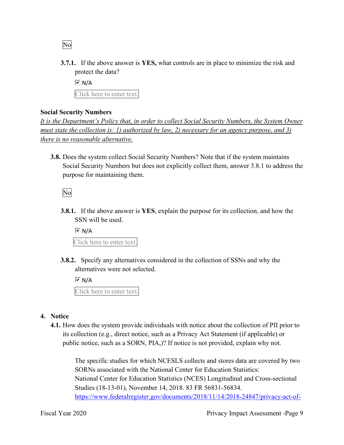No

**3.7.1.** If the above answer is **YES,** what controls are in place to minimize the risk and protect the data?

 Click here to enter text.  $\overline{M}$  N/A

# **Social Security Numbers**

*It is the Department's Policy that, in order to collect Social Security Numbers, the System Owner must state the collection is: 1) authorized by law, 2) necessary for an agency purpose, and 3) there is no reasonable alternative.* 

 **3.8.** Does the system collect Social Security Numbers? Note that if the system maintains Social Security Numbers but does not explicitly collect them, answer 3.8.1 to address the purpose for maintaining them.

No

**3.8.1.** If the above answer is **YES**, explain the purpose for its collection, and how the SSN will be used.

 Click here to enter text.  $\overline{V}$  N/A

 **3.8.2.** Specify any alternatives considered in the collection of SSNs and why the alternatives were not selected.

 Click here to enter text.  $\overline{M}$  N/A

# **4. Notice**

 its collection (e.g., direct notice, such as a Privacy Act Statement (if applicable) or public notice, such as a SORN, PIA,)? If notice is not provided, explain why not. **4.1.** How does the system provide individuals with notice about the collection of PII prior to

 The specific studies for which NCESLS collects and stores data are covered by two SORNs associated with the National Center for Education Statistics: National Center for Education Statistics (NCES) Longitudinal and Cross-sectional Studies (18-13-01), November 14, 2018. 83 FR 56831-56834. [https://www.federalregister.gov/documents/2018/11/14/2018-24847/privacy-act-of-](https://www.federalregister.gov/documents/2018/11/14/2018-24847/privacy-act-of)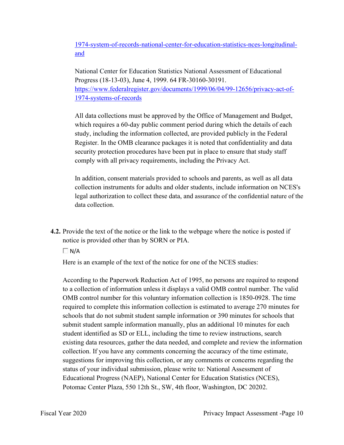1974-system-of-records-national-center-for-education-statistics-nces-longitudinaland

National Center for Education Statistics National Assessment of Educational Progress (18-13-03), June 4, 1999. 64 FR-30160-30191. [https://www.federalregister.gov/documents/1999/06/04/99-12656/privacy-act-of-](https://www.federalregister.gov/documents/1999/06/04/99-12656/privacy-act-of)1974-systems-of-records

All data collections must be approved by the Office of Management and Budget, which requires a 60-day public comment period during which the details of each study, including the information collected, are provided publicly in the Federal Register. In the OMB clearance packages it is noted that confidentiality and data security protection procedures have been put in place to ensure that study staff comply with all privacy requirements, including the Privacy Act.

In addition, consent materials provided to schools and parents, as well as all data collection instruments for adults and older students, include information on NCES's legal authorization to collect these data, and assurance of the confidential nature of the data collection.

**4.2.** Provide the text of the notice or the link to the webpage where the notice is posted if notice is provided other than by SORN or PIA.

 $\Box$  N/A

Here is an example of the text of the notice for one of the NCES studies:

According to the Paperwork Reduction Act of 1995, no persons are required to respond to a collection of information unless it displays a valid OMB control number. The valid OMB control number for this voluntary information collection is 1850-0928. The time required to complete this information collection is estimated to average 270 minutes for schools that do not submit student sample information or 390 minutes for schools that submit student sample information manually, plus an additional 10 minutes for each student identified as SD or ELL, including the time to review instructions, search existing data resources, gather the data needed, and complete and review the information collection. If you have any comments concerning the accuracy of the time estimate, suggestions for improving this collection, or any comments or concerns regarding the status of your individual submission, please write to: National Assessment of Educational Progress (NAEP), National Center for Education Statistics (NCES), Potomac Center Plaza, 550 12th St., SW, 4th floor, Washington, DC 20202.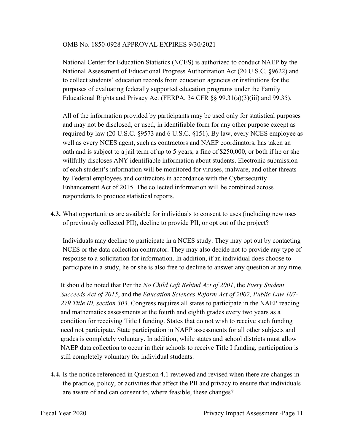## OMB No. 1850-0928 APPROVAL EXPIRES 9/30/2021

National Center for Education Statistics (NCES) is authorized to conduct NAEP by the National Assessment of Educational Progress Authorization Act (20 U.S.C. §9622) and to collect students' education records from education agencies or institutions for the purposes of evaluating federally supported education programs under the Family Educational Rights and Privacy Act (FERPA, 34 CFR §§ 99.31(a)(3)(iii) and 99.35).

 willfully discloses ANY identifiable information about students. Electronic submission All of the information provided by participants may be used only for statistical purposes and may not be disclosed, or used, in identifiable form for any other purpose except as required by law (20 U.S.C. §9573 and 6 U.S.C. §151). By law, every NCES employee as well as every NCES agent, such as contractors and NAEP coordinators, has taken an oath and is subject to a jail term of up to 5 years, a fine of \$250,000, or both if he or she of each student's information will be monitored for viruses, malware, and other threats by Federal employees and contractors in accordance with the Cybersecurity Enhancement Act of 2015. The collected information will be combined across respondents to produce statistical reports.

**4.3.** What opportunities are available for individuals to consent to uses (including new uses of previously collected PII), decline to provide PII, or opt out of the project?

 response to a solicitation for information. In addition, if an individual does choose to Individuals may decline to participate in a NCES study. They may opt out by contacting NCES or the data collection contractor. They may also decide not to provide any type of participate in a study, he or she is also free to decline to answer any question at any time.

 NAEP data collection to occur in their schools to receive Title I funding, participation is It should be noted that Per the *No Child Left Behind Act of 2001*, the *Every Student Succeeds Act of 2015*, and the *Education Sciences Reform Act of 2002, Public Law 107- 279 Title III, section 303,* Congress requires all states to participate in the NAEP reading and mathematics assessments at the fourth and eighth grades every two years as a condition for receiving Title I funding. States that do not wish to receive such funding need not participate. State participation in NAEP assessments for all other subjects and grades is completely voluntary. In addition, while states and school districts must allow still completely voluntary for individual students.

 are aware of and can consent to, where feasible, these changes? **4.4.** Is the notice referenced in Question 4.1 reviewed and revised when there are changes in the practice, policy, or activities that affect the PII and privacy to ensure that individuals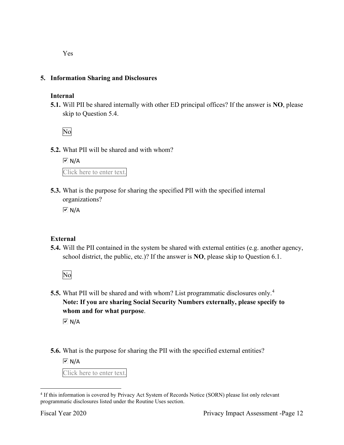Yes

# **5. Information Sharing and Disclosures**

## **Internal**

 **5.1.** Will PII be shared internally with other ED principal offices? If the answer is **NO**, please skip to Question 5.4.

No

**5.2.** What PII will be shared and with whom?

 Click here to enter text.  $\boxed{\vee}$  N/A

 organizations? **5.3.** What is the purpose for sharing the specified PII with the specified internal

 $\overline{M}$  N/A

# **External**

**5.4.** Will the PII contained in the system be shared with external entities (e.g. another agency, school district, the public, etc.)? If the answer is **NO**, please skip to Question 6.1.

No

 **5.5.** What PII will be shared and with whom? List programmatic disclosures only.<sup>4</sup> **Note: If you are sharing Social Security Numbers externally, please specify to whom and for what purpose**.

 $\overline{M}$  N/A

**5.6.** What is the purpose for sharing the PII with the specified external entities?

 $\overline{M}$  N/A

Click here to enter text.

<sup>&</sup>lt;sup>4</sup> If this information is covered by Privacy Act System of Records Notice (SORN) please list only relevant programmatic disclosures listed under the Routine Uses section.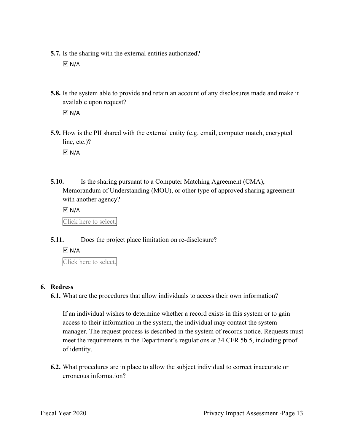**5.7.** Is the sharing with the external entities authorized?

 $\overline{M}$  N/A

**5.8.** Is the system able to provide and retain an account of any disclosures made and make it available upon request?

 $\overline{M}$  N/A

 **5.9.** How is the PII shared with the external entity (e.g. email, computer match, encrypted line, etc.)?

 $\overline{M}$  N/A

**5.10.** Is the sharing pursuant to a Computer Matching Agreement (CMA), Memorandum of Understanding (MOU), or other type of approved sharing agreement with another agency?

 Click here to select.  $\overline{M}$  N/A

**5.11.** Does the project place limitation on re-disclosure?

 $\boxed{\vee}$  N/A

Click here to select.

## **6. Redress**

**6.1.** What are the procedures that allow individuals to access their own information?

If an individual wishes to determine whether a record exists in this system or to gain access to their information in the system, the individual may contact the system manager. The request process is described in the system of records notice. Requests must meet the requirements in the Department's regulations at 34 CFR 5b.5, including proof of identity.

**6.2.** What procedures are in place to allow the subject individual to correct inaccurate or erroneous information?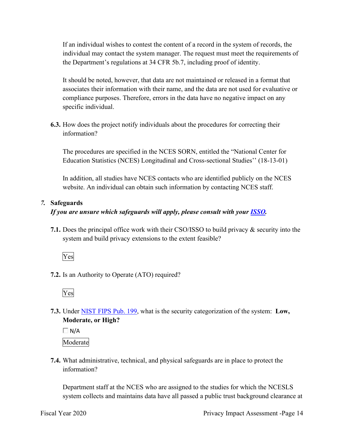If an individual wishes to contest the content of a record in the system of records, the individual may contact the system manager. The request must meet the requirements of the Department's regulations at 34 CFR 5b.7, including proof of identity.

 It should be noted, however, that data are not maintained or released in a format that associates their information with their name, and the data are not used for evaluative or compliance purposes. Therefore, errors in the data have no negative impact on any specific individual.

**6.3.** How does the project notify individuals about the procedures for correcting their information?

The procedures are specified in the NCES SORN, entitled the "National Center for Education Statistics (NCES) Longitudinal and Cross-sectional Studies'' (18-13-01)

In addition, all studies have NCES contacts who are identified publicly on the NCES website. An individual can obtain such information by contacting NCES staff.

# *7.* **Safeguards**

# *If you are unsure which safeguards will apply, please consult with your ISSO.*

 system and build privacy extensions to the extent feasible? **7.1.** Does the principal office work with their CSO/ISSO to build privacy & security into the



**7.2.** Is an Authority to Operate (ATO) required?



**7.3.** Under NIST FIPS Pub. 199, what is the security categorization of the system: **Low, Moderate, or High?** 

 $\Box$  N/A

Moderate

**7.4.** What administrative, technical, and physical safeguards are in place to protect the information?

Department staff at the NCES who are assigned to the studies for which the NCESLS system collects and maintains data have all passed a public trust background clearance at

Fiscal Year 2020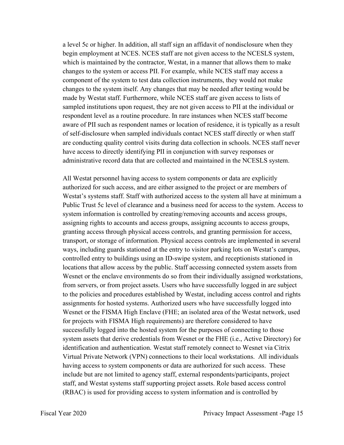respondent level as a routine procedure. In rare instances when NCES staff become of self-disclosure when sampled individuals contact NCES staff directly or when staff administrative record data that are collected and maintained in the NCESLS system. a level 5c or higher. In addition, all staff sign an affidavit of nondisclosure when they begin employment at NCES. NCES staff are not given access to the NCESLS system, which is maintained by the contractor, Westat, in a manner that allows them to make changes to the system or access PII. For example, while NCES staff may access a component of the system to test data collection instruments, they would not make changes to the system itself. Any changes that may be needed after testing would be made by Westat staff. Furthermore, while NCES staff are given access to lists of sampled institutions upon request, they are not given access to PII at the individual or aware of PII such as respondent names or location of residence, it is typically as a result are conducting quality control visits during data collection in schools. NCES staff never have access to directly identifying PII in conjunction with survey responses or

 having access to system components or data are authorized for such access. These staff, and Westat systems staff supporting project assets. Role based access control All Westat personnel having access to system components or data are explicitly authorized for such access, and are either assigned to the project or are members of Westat's systems staff. Staff with authorized access to the system all have at minimum a Public Trust 5c level of clearance and a business need for access to the system. Access to system information is controlled by creating/removing accounts and access groups, assigning rights to accounts and access groups, assigning accounts to access groups, granting access through physical access controls, and granting permission for access, transport, or storage of information. Physical access controls are implemented in several ways, including guards stationed at the entry to visitor parking lots on Westat's campus, controlled entry to buildings using an ID-swipe system, and receptionists stationed in locations that allow access by the public. Staff accessing connected system assets from Wesnet or the enclave environments do so from their individually assigned workstations, from servers, or from project assets. Users who have successfully logged in are subject to the policies and procedures established by Westat, including access control and rights assignments for hosted systems. Authorized users who have successfully logged into Wesnet or the FISMA High Enclave (FHE; an isolated area of the Westat network, used for projects with FISMA High requirements) are therefore considered to have successfully logged into the hosted system for the purposes of connecting to those system assets that derive credentials from Wesnet or the FHE (i.e., Active Directory) for identification and authentication. Westat staff remotely connect to Wesnet via Citrix Virtual Private Network (VPN) connections to their local workstations. All individuals include but are not limited to agency staff, external respondents/participants, project (RBAC) is used for providing access to system information and is controlled by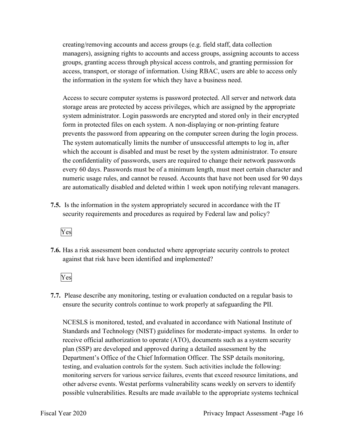creating/removing accounts and access groups (e.g. field staff, data collection managers), assigning rights to accounts and access groups, assigning accounts to access groups, granting access through physical access controls, and granting permission for access, transport, or storage of information. Using RBAC, users are able to access only the information in the system for which they have a business need.

Access to secure computer systems is password protected. All server and network data storage areas are protected by access privileges, which are assigned by the appropriate system administrator. Login passwords are encrypted and stored only in their encrypted form in protected files on each system. A non-displaying or non-printing feature prevents the password from appearing on the computer screen during the login process. The system automatically limits the number of unsuccessful attempts to log in, after which the account is disabled and must be reset by the system administrator. To ensure the confidentiality of passwords, users are required to change their network passwords every 60 days. Passwords must be of a minimum length, must meet certain character and numeric usage rules, and cannot be reused. Accounts that have not been used for 90 days are automatically disabled and deleted within 1 week upon notifying relevant managers.

 **7.5.** Is the information in the system appropriately secured in accordance with the IT security requirements and procedures as required by Federal law and policy?



**7.6.** Has a risk assessment been conducted where appropriate security controls to protect against that risk have been identified and implemented?

Yes

 ensure the security controls continue to work properly at safeguarding the PII. **7.7.** Please describe any monitoring, testing or evaluation conducted on a regular basis to

 Standards and Technology (NIST) guidelines for moderate-impact systems. In order to testing, and evaluation controls for the system. Such activities include the following: NCESLS is monitored, tested, and evaluated in accordance with National Institute of receive official authorization to operate (ATO), documents such as a system security plan (SSP) are developed and approved during a detailed assessment by the Department's Office of the Chief Information Officer. The SSP details monitoring, monitoring servers for various service failures, events that exceed resource limitations, and other adverse events. Westat performs vulnerability scans weekly on servers to identify possible vulnerabilities. Results are made available to the appropriate systems technical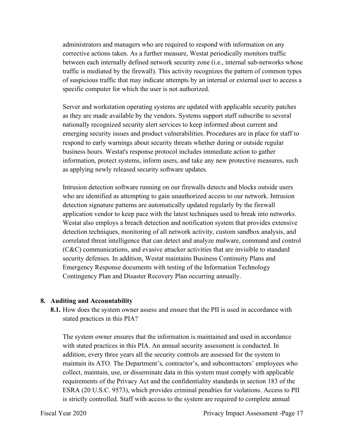administrators and managers who are required to respond with information on any corrective actions taken. As a further measure, Westat periodically monitors traffic between each internally defined network security zone (i.e., internal sub-networks whose traffic is mediated by the firewall). This activity recognizes the pattern of common types of suspicious traffic that may indicate attempts by an internal or external user to access a specific computer for which the user is not authorized.

Server and workstation operating systems are updated with applicable security patches as they are made available by the vendors. Systems support staff subscribe to several nationally recognized security alert services to keep informed about current and emerging security issues and product vulnerabilities. Procedures are in place for staff to respond to early warnings about security threats whether during or outside regular business hours. Westat's response protocol includes immediate action to gather information, protect systems, inform users, and take any new protective measures, such as applying newly released security software updates.

Intrusion detection software running on our firewalls detects and blocks outside users who are identified as attempting to gain unauthorized access to our network. Intrusion detection signature patterns are automatically updated regularly by the firewall application vendor to keep pace with the latest techniques used to break into networks. Westat also employs a breach detection and notification system that provides extensive detection techniques, monitoring of all network activity, custom sandbox analysis, and correlated threat intelligence that can detect and analyze malware, command and control (C&C) communications, and evasive attacker activities that are invisible to standard security defenses. In addition, Westat maintains Business Continuity Plans and Emergency Response documents with testing of the Information Technology Contingency Plan and Disaster Recovery Plan occurring annually.

#### **8. Auditing and Accountability**

 **8.1.** How does the system owner assess and ensure that the PII is used in accordance with stated practices in this PIA?

The system owner ensures that the information is maintained and used in accordance with stated practices in this PIA. An annual security assessment is conducted. In addition, every three years all the security controls are assessed for the system to maintain its ATO. The Department's, contractor's, and subcontractors' employees who collect, maintain, use, or disseminate data in this system must comply with applicable requirements of the Privacy Act and the confidentiality standards in section 183 of the ESRA (20 U.S.C. 9573), which provides criminal penalties for violations. Access to PII is strictly controlled. Staff with access to the system are required to complete annual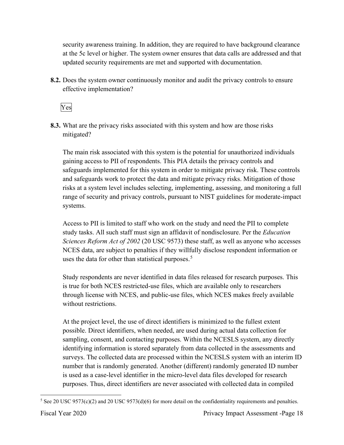security awareness training. In addition, they are required to have background clearance at the 5c level or higher. The system owner ensures that data calls are addressed and that updated security requirements are met and supported with documentation.

 **8.2.** Does the system owner continuously monitor and audit the privacy controls to ensure effective implementation?

Yes

 mitigated? **8.3.** What are the privacy risks associated with this system and how are those risks

 and safeguards work to protect the data and mitigate privacy risks. Mitigation of those The main risk associated with this system is the potential for unauthorized individuals gaining access to PII of respondents. This PIA details the privacy controls and safeguards implemented for this system in order to mitigate privacy risk. These controls risks at a system level includes selecting, implementing, assessing, and monitoring a full range of security and privacy controls, pursuant to NIST guidelines for moderate-impact systems.

Access to PII is limited to staff who work on the study and need the PII to complete study tasks. All such staff must sign an affidavit of nondisclosure. Per the *Education Sciences Reform Act of 2002* (20 USC 9573) these staff, as well as anyone who accesses NCES data, are subject to penalties if they willfully disclose respondent information or uses the data for other than statistical purposes.<sup>5</sup>

without restrictions. Study respondents are never identified in data files released for research purposes. This is true for both NCES restricted-use files, which are available only to researchers through license with NCES, and public-use files, which NCES makes freely available

 is used as a case-level identifier in the micro-level data files developed for research At the project level, the use of direct identifiers is minimized to the fullest extent possible. Direct identifiers, when needed, are used during actual data collection for sampling, consent, and contacting purposes. Within the NCESLS system, any directly identifying information is stored separately from data collected in the assessments and surveys. The collected data are processed within the NCESLS system with an interim ID number that is randomly generated. Another (different) randomly generated ID number purposes. Thus, direct identifiers are never associated with collected data in compiled

<sup>&</sup>lt;sup>5</sup> See 20 USC 9573(c)(2) and 20 USC 9573(d)(6) for more detail on the confidentiality requirements and penalties.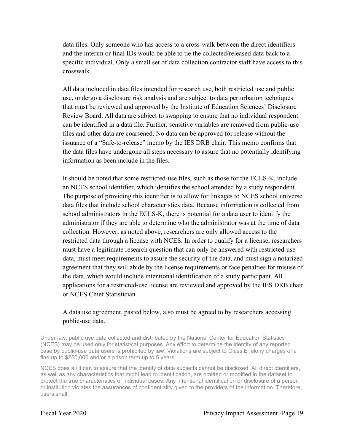data files. Only someone who has access to a cross-walk between the direct identifiers and the interim or final IDs would be able to tie the collected/released data back to a specific individual. Only a small set of data collection contractor staff have access to this crosswalk.

 All data included in data files intended for research use, both restricted use and public files and other data are coarsened. No data can be approved for release without the use, undergo a disclosure risk analysis and are subject to data perturbation techniques that must be reviewed and approved by the Institute of Education Sciences' Disclosure Review Board. All data are subject to swapping to ensure that no individual respondent can be identified in a data file. Further, sensitive variables are removed from public-use issuance of a "Safe-to-release" memo by the IES DRB chair. This memo confirms that the data files have undergone all steps necessary to assure that no potentially identifying information as been include in the files.

It should be noted that some restricted-use files, such as those for the ECLS-K, include an NCES school identifier, which identifies the school attended by a study respondent. The purpose of providing this identifier is to allow for linkages to NCES school universe data files that include school characteristics data. Because information is collected from school administrators in the ECLS-K, there is potential for a data user to identify the administrator if they are able to determine who the administrator was at the time of data collection. However, as noted above, researchers are only allowed access to the restricted data through a license with NCES. In order to qualify for a license, researchers must have a legitimate research question that can only be answered with restricted-use data, must meet requirements to assure the security of the data, and must sign a notarized agreement that they will abide by the license requirements or face penalties for misuse of the data, which would include intentional identification of a study participant. All applications for a restricted-use license are reviewed and approved by the IES DRB chair or NCES Chief Statistician

## A data use agreement, pasted below, also must be agreed to by researchers accessing public-use data.

 (NCES) may be used only for statistical purposes. Any effort to determine the identity of any reported Under law, public use data collected and distributed by the National Center for Education Statistics case by public-use data users is prohibited by law. Violations are subject to Class E felony charges of a fine up to \$250,000 and/or a prison term up to 5 years.

 protect the true characteristics of individual cases. Any intentional identification or disclosure of a person NCES does all it can to assure that the identity of data subjects cannot be disclosed. All direct identifiers, as well as any characteristics that might lead to identification, are omitted or modified in the dataset to or institution violates the assurances of confidentiality given to the providers of the information. Therefore, users shall: